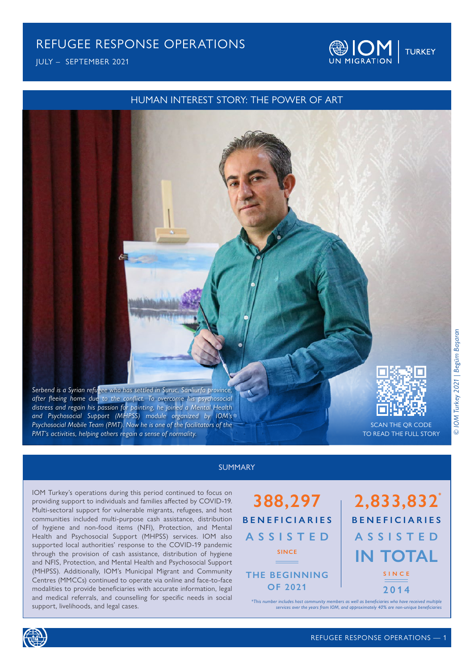JULY – SEPTEMBER 2021

### HUMAN INTEREST STORY: THE POWER OF ART



### SUMMARY

IOM Turkey's operations during this period continued to focus on providing support to individuals and families affected by COVID-19. Multi-sectoral support for vulnerable migrants, refugees, and host communities included multi-purpose cash assistance, distribution of hygiene and non-food items (NFI), Protection, and Mental Health and Psychosocial Support (MHPSS) services. IOM also supported local authorities' response to the COVID-19 pandemic through the provision of cash assistance, distribution of hygiene and NFIS, Protection, and Mental Health and Psychosocial Support (MHPSS). Additionally, IOM's Municipal Migrant and Community Centres (MMCCs) continued to operate via online and face-to-face modalities to provide beneficiaries with accurate information, legal and medical referrals, and counselling for specific needs in social support, livelihoods, and legal cases.



# **2,833,832 IN TOTAL BENEFICIARIES ASSISTED SINCE 2014**

**@IOM** TURKEY

*\*This number includes host community members as well as beneficiaries who have received multiple services over the years from IOM, and approximately 40% are non-unique beneficiaries*

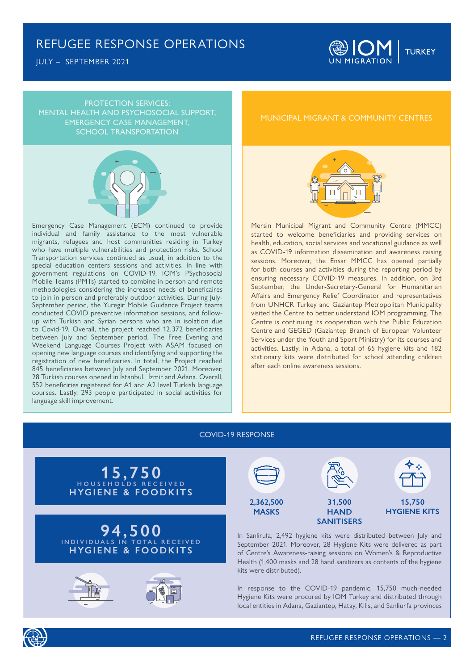JULY – SEPTEMBER 2021



PROTECTION SERVICES: MENTAL HEALTH AND PSYCHOSOCIAL SUPPORT, EMERGENCY CASE MANAGEMENT, SCHOOL TRANSPORTATION



Emergency Case Management (ECM) continued to provide individual and family assistance to the most vulnerable migrants, refugees and host communities residing in Turkey who have multiple vulnerabilities and protection risks. School Transportation services continued as usual, in addition to the special education centers sessions and activities. In line with government regulations on COVID-19, IOM's PSychosocial Mobile Teams (PMTs) started to combine in person and remote methodologies considering the increased needs of beneficaires to join in person and preferably outdoor activities. During July-September period, the Yuregir Mobile Guidance Project teams conducted COVID preventive information sessions, and followup with Turkish and Syrian persons who are in isolation due to Covid-19. Overall, the project reached 12,372 beneficiaries between July and September period. The Free Evening and Weekend Language Courses Project with ASAM focused on opening new language courses and identifying and supporting the registration of new beneficairies. In total, the Project reached 845 beneficiaries between July and September 2021. Moreover, 28 Turkish courses opened in İstanbul, İzmir and Adana. Overall, 552 beneficiries registered for A1 and A2 level Turkish language courses. Lastly, 293 people participated in social activities for language skill improvement.

### MUNICIPAL MIGRANT & COMMUNITY CENTRES



Mersin Municipal Migrant and Community Centre (MMCC) started to welcome beneficiaries and providing services on health, education, social services and vocational guidance as well as COVID-19 information dissemination and awareness raising sessions. Moreover, the Ensar MMCC has opened partially for both courses and activities during the reporting period by ensuring necessary COVID-19 measures. In addition, on 3rd September, the Under-Secretary-General for Humanitarian Affairs and Emergency Relief Coordinator and representatives from UNHCR Turkey and Gaziantep Metropolitan Municipality visited the Centre to better understand IOM programming. The Centre is continuing its cooperation with the Public Education Centre and GEGED (Gaziantep Branch of European Volunteer Services under the Youth and Sport Ministry) for its courses and activities. Lastly, in Adana, a total of 65 hygiene kits and 182 stationary kits were distributed for school attending children after each online awareness sessions.

#### COVID-19 RESPONSE





In Sanlirufa, 2,492 hygiene kits were distributed between July and September 2021. Moreover, 28 Hygiene Kits were delivered as part **SANITISERS**

of Centre's Awareness-raising sessions on Women's & Reproductive Health (1,400 masks and 28 hand sanitizers as contents of the hygiene kits were distributed).

In response to the COVID-19 pandemic, 15,750 much-needed Hygiene Kits were procured by IOM Turkey and distributed through local entities in Adana, Gaziantep, Hatay, Kilis, and Sanliurfa provinces

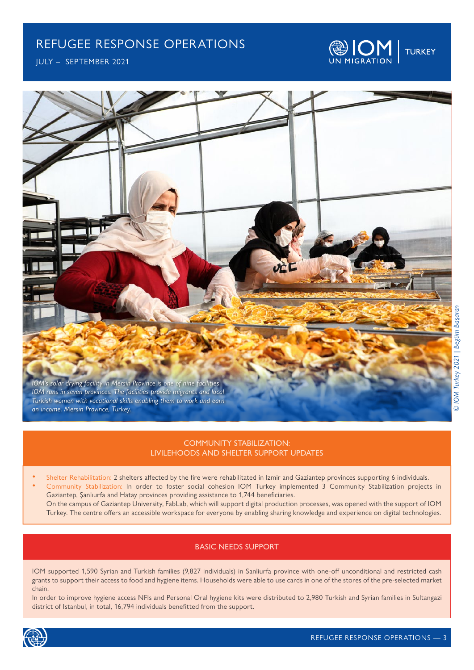JULY – SEPTEMBER 2021

*an income. Mersin Province, Turkey.* 





### COMMUNITY STABILIZATION: LIVILEHOODS AND SHELTER SUPPORT UPDATES

- Shelter Rehabilitation: 2 shelters affected by the fire were rehabilitated in Izmir and Gaziantep provinces supporting 6 individuals.
	- Community Stabilization: In order to foster social cohesion IOM Turkey implemented 3 Community Stabilization projects in Gaziantep, Şanlıurfa and Hatay provinces providing assistance to 1,744 beneficiaries.
	- On the campus of Gaziantep University, FabLab, which will support digital production processes, was opened with the support of IOM Turkey. The centre offers an accessible workspace for everyone by enabling sharing knowledge and experience on digital technologies.

### BASIC NEEDS SUPPORT

IOM supported 1,590 Syrian and Turkish families (9,827 individuals) in Sanliurfa province with one-off unconditional and restricted cash grants to support their access to food and hygiene items. Households were able to use cards in one of the stores of the pre-selected market chain.

In order to improve hygiene access NFIs and Personal Oral hygiene kits were distributed to 2,980 Turkish and Syrian families in Sultangazi district of Istanbul, in total, 16,794 individuals benefitted from the support.